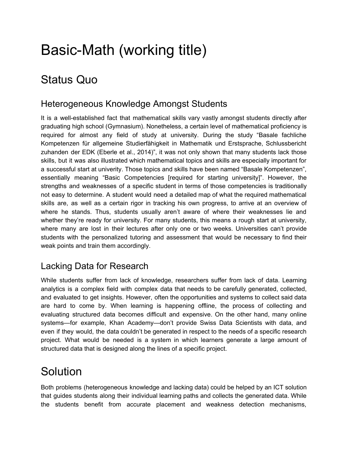# Basic-Math (working title)

# Status Quo

### Heterogeneous Knowledge Amongst Students

It is a well-established fact that mathematical skills vary vastly amongst students directly after graduating high school (Gymnasium). Nonetheless, a certain level of mathematical proficiency is required for almost any field of study at university. During the study "Basale fachliche Kompetenzen für allgemeine Studierfähigkeit in Mathematik und Erstsprache, Schlussbericht zuhanden der EDK (Eberle et al., 2014)", it was not only shown that many students lack those skills, but it was also illustrated which mathematical topics and skills are especially important for a successful start at univerity. Those topics and skills have been named "Basale Kompetenzen", essentially meaning "Basic Competencies [required for starting university]". However, the strengths and weaknesses of a specific student in terms of those competencies is traditionally not easy to determine. A student would need a detailed map of what the required mathematical skills are, as well as a certain rigor in tracking his own progress, to arrive at an overview of where he stands. Thus, students usually aren't aware of where their weaknesses lie and whether they're ready for university. For many students, this means a rough start at university, where many are lost in their lectures after only one or two weeks. Universities can't provide students with the personalized tutoring and assessment that would be necessary to find their weak points and train them accordingly.

### Lacking Data for Research

While students suffer from lack of knowledge, researchers suffer from lack of data. Learning analytics is a complex field with complex data that needs to be carefully generated, collected, and evaluated to get insights. However, often the opportunities and systems to collect said data are hard to come by. When learning is happening offline, the process of collecting and evaluating structured data becomes difficult and expensive. On the other hand, many online systems—for example, Khan Academy—don't provide Swiss Data Scientists with data, and even if they would, the data couldn't be generated in respect to the needs of a specific research project. What would be needed is a system in which learners generate a large amount of structured data that is designed along the lines of a specific project.

# Solution

Both problems (heterogeneous knowledge and lacking data) could be helped by an ICT solution that guides students along their individual learning paths and collects the generated data. While the students benefit from accurate placement and weakness detection mechanisms,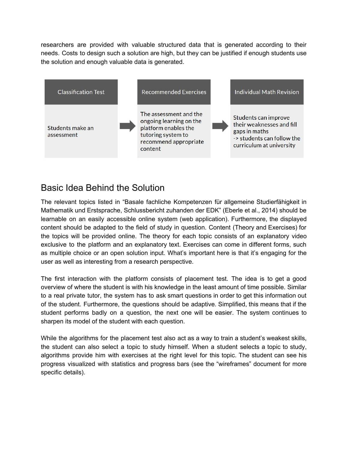researchers are provided with valuable structured data that is generated according to their needs. Costs to design such a solution are high, but they can be justified if enough students use the solution and enough valuable data is generated.



### Basic Idea Behind the Solution

The relevant topics listed in "Basale fachliche Kompetenzen für allgemeine Studierfähigkeit in Mathematik und Erstsprache, Schlussbericht zuhanden der EDK" (Eberle et al., 2014) should be learnable on an easily accessible online system (web application). Furthermore, the displayed content should be adapted to the field of study in question. Content (Theory and Exercises) for the topics will be provided online. The theory for each topic consists of an explanatory video exclusive to the platform and an explanatory text. Exercises can come in different forms, such as multiple choice or an open solution input. What's important here is that it's engaging for the user as well as interesting from a research perspective.

The first interaction with the platform consists of placement test. The idea is to get a good overview of where the student is with his knowledge in the least amount of time possible. Similar to a real private tutor, the system has to ask smart questions in order to get this information out of the student. Furthermore, the questions should be adaptive. Simplified, this means that if the student performs badly on a question, the next one will be easier. The system continues to sharpen its model of the student with each question.

While the algorithms for the placement test also act as a way to train a student's weakest skills, the student can also select a topic to study himself. When a student selects a topic to study, algorithms provide him with exercises at the right level for this topic. The student can see his progress visualized with statistics and progress bars (see the "wireframes" document for more specific details).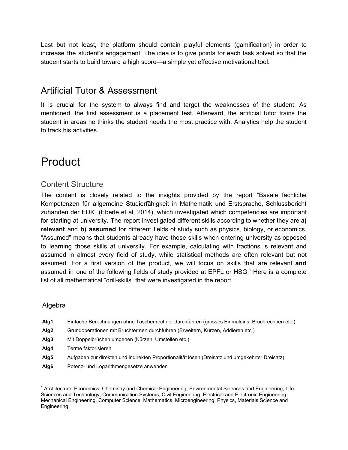Last but not least, the platform should contain playful elements (gamification) in order to increase the student's engagement. The idea is to give points for each task solved so that the student starts to build toward a high score—a simple yet effective motivational tool.

### Artificial Tutor & Assessment

It is crucial for the system to always find and target the weaknesses of the student. As mentioned, the first assessment is a placement test. Afterward, the artificial tutor trains the student in areas he thinks the student needs the most practice with. Analytics help the student to track his activities.

# Product

#### Content Structure

The content is closely related to the insights provided by the report "Basale fachliche Kompetenzen für allgemeine Studierfähigkeit in Mathematik und Erstsprache, Schlussbericht zuhanden der EDK" (Eberle et al, 2014), which investigated which competencies are important for starting at university. The report investigated different skills according to whether they are **a) relevant** and **b) assumed** for different fields of study such as physics, biology, or economics. "Assumed" means that students already have those skills when entering university as opposed to learning those skills at university. For example, calculating with fractions is relevant and assumed in almost every field of study, while statistical methods are often relevant but not assumed. For a first version of the product, we will focus on skills that are relevant **and** assumed in one of the following fields of study provided at EPFL or HSG.<sup>1</sup> Here is a complete list of all mathematical "drill-skills" that were investigated in the report.

#### Algebra

- **Alg1** Einfache Berechnungen ohne Taschenrechner durchführen (grosses Einmaleins, Bruchrechnen etc.)
- **Alg2** Grundoperationen mit Bruchtermen durchführen (Erweitern, Kürzen, Addieren etc.)
- **Alg3** Mit Doppelbrüchen umgehen (Kürzen, Umstellen etc.)
- **Alg4** Terme faktorisieren
- **Alg5** Aufgaben zur direkten und indirekten Proportionalität lösen (Dreisatz und umgekehrter Dreisatz)
- **Alg6** Potenz- und Logarithmengesetze anwenden

<sup>&</sup>lt;sup>1</sup> Architecture, Economics, Chemistry and Chemical Engineering, Environmental Sciences and Engineering, Life Sciences and Technology, Communication Systems, Civil Engineering, Electrical and Electronic Engineering, Mechanical Engineering, Computer Science, Mathematics, Microengineering, Physics, Materials Science and Engineering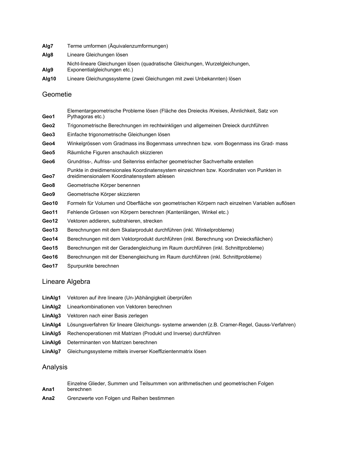- **Alg7** Terme umformen (Äquivalenzumformungen)
- **Alg8** Lineare Gleichungen lösen
- Nicht-lineare Gleichungen lösen (quadratische Gleichungen, Wurzelgleichungen,
- **Alg9** Exponentialgleichungen etc.)
- **Alg10** Lineare Gleichungssysteme (zwei Gleichungen mit zwei Unbekannten) lösen

#### Geometie

- **Geo1** Elementargeometrische Probleme lösen (Fläche des Dreiecks /Kreises, Ähnlichkeit, Satz von Pythagoras etc.) **Geo2** Trigonometrische Berechnungen im rechtwinkligen und allgemeinen Dreieck durchführen **Geo3** Einfache trigonometrische Gleichungen lösen **Geo4** Winkelgrössen vom Gradmass ins Bogenmass umrechnen bzw. vom Bogenmass ins Grad- mass **Geo5** Räumliche Figuren anschaulich skizzieren **Geo6** Grundriss-, Aufriss- und Seitenriss einfacher geometrischer Sachverhalte erstellen **Geo7** Punkte in dreidimensionales Koordinatensystem einzeichnen bzw. Koordinaten von Punkten in dreidimensionalem Koordinatensystem ablesen **Geo8** Geometrische Körper benennen **Geo9** Geometrische Körper skizzieren **Geo10** Formeln für Volumen und Oberfläche von geometrischen Körpern nach einzelnen Variablen auflösen **Geo11** Fehlende Grössen von Körpern berechnen (Kantenlängen, Winkel etc.) **Geo12** Vektoren addieren, subtrahieren, strecken **Geo13** Berechnungen mit dem Skalarprodukt durchführen (inkl. Winkelprobleme) **Geo14** Berechnungen mit dem Vektorprodukt durchführen (inkl. Berechnung von Dreiecksflächen) **Geo15** Berechnungen mit der Geradengleichung im Raum durchführen (inkl. Schnittprobleme)
- **Geo16** Berechnungen mit der Ebenengleichung im Raum durchführen (inkl. Schnittprobleme)
- **Geo17** Spurpunkte berechnen

#### Lineare Algebra

- **LinAlg1** Vektoren auf ihre lineare (Un-)Abhängigkeit überprüfen
- **LinAlg2** Linearkombinationen von Vektoren berechnen
- **LinAlg3** Vektoren nach einer Basis zerlegen
- **LinAlg4** Lösungsverfahren für lineare Gleichungs- systeme anwenden (z.B. Cramer-Regel, Gauss-Verfahren)
- **LinAlg5** Rechenoperationen mit Matrizen (Produkt und Inverse) durchführen
- **LinAlg6** Determinanten von Matrizen berechnen
- **LinAlg7** Gleichungssysteme mittels inverser Koeffizientenmatrix lösen

#### Analysis

- **Ana1** Einzelne Glieder, Summen und Teilsummen von arithmetischen und geometrischen Folgen berechnen
- **Ana2** Grenzwerte von Folgen und Reihen bestimmen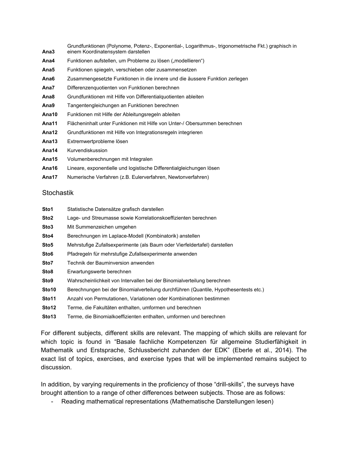**Ana3** Grundfunktionen (Polynome, Potenz-, Exponential-, Logarithmus-, trigonometrische Fkt.) graphisch in einem Koordinatensystem darstellen

- Ana4 Funktionen aufstellen, um Probleme zu lösen ("modellieren")
- **Ana5** Funktionen spiegeln, verschieben oder zusammensetzen
- **Ana6** Zusammengesetzte Funktionen in die innere und die äussere Funktion zerlegen
- **Ana7** Differenzenquotienten von Funktionen berechnen
- **Ana8** Grundfunktionen mit Hilfe von Differentialquotienten ableiten
- **Ana9** Tangentengleichungen an Funktionen berechnen
- **Ana10** Funktionen mit Hilfe der Ableitungsregeln ableiten
- **Ana11** Flächeninhalt unter Funktionen mit Hilfe von Unter-/ Obersummen berechnen
- **Ana12** Grundfunktionen mit Hilfe von Integrationsregeln integrieren
- **Ana13** Extremwertprobleme lösen
- **Ana14** Kurvendiskussion
- **Ana15** Volumenberechnungen mit Integralen
- **Ana16** Lineare, exponentielle und logistische Differentialgleichungen lösen
- **Ana17** Numerische Verfahren (z.B. Eulerverfahren, Newtonverfahren)

#### **Stochastik**

- **Sto1** Statistische Datensätze grafisch darstellen
- **Sto2** Lage- und Streumasse sowie Korrelationskoeffizienten berechnen
- **Sto3** Mit Summenzeichen umgehen
- **Sto4** Berechnungen im Laplace-Modell (Kombinatorik) anstellen
- **Sto5** Mehrstufige Zufallsexperimente (als Baum oder Vierfeldertafel) darstellen
- **Sto6** Pfadregeln für mehrstufige Zufallsexperimente anwenden
- **Sto7** Technik der Bauminversion anwenden
- **Sto8** Erwartungswerte berechnen
- **Sto9** Wahrscheinlichkeit von Intervallen bei der Binomialverteilung berechnen
- **Sto10** Berechnungen bei der Binomialverteilung durchführen (Quantile, Hypothesentests etc.)
- **Sto11** Anzahl von Permutationen, Variationen oder Kombinationen bestimmen
- **Sto12** Terme, die Fakultäten enthalten, umformen und berechnen
- **Sto13** Terme, die Binomialkoeffizienten enthalten, umformen und berechnen

For different subjects, different skills are relevant. The mapping of which skills are relevant for which topic is found in "Basale fachliche Kompetenzen für allgemeine Studierfähigkeit in Mathematik und Erstsprache, Schlussbericht zuhanden der EDK" (Eberle et al., 2014). The exact list of topics, exercises, and exercise types that will be implemented remains subject to discussion.

In addition, by varying requirements in the proficiency of those "drill-skills", the surveys have brought attention to a range of other differences between subjects. Those are as follows:

- Reading mathematical representations (Mathematische Darstellungen lesen)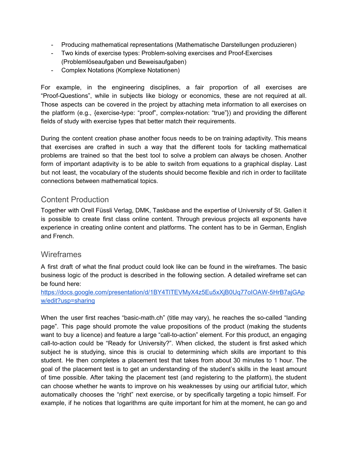- Producing mathematical representations (Mathematische Darstellungen produzieren)
- Two kinds of exercise types: Problem-solving exercises and Proof-Exercises (Problemlöseaufgaben und Beweisaufgaben)
- Complex Notations (Komplexe Notationen)

For example, in the engineering disciplines, a fair proportion of all exercises are "Proof-Questions", while in subjects like biology or economics, these are not required at all. Those aspects can be covered in the project by attaching meta information to all exercises on the platform (e.g., {exercise-type: "proof", complex-notation: "true"}) and providing the different fields of study with exercise types that better match their requirements.

During the content creation phase another focus needs to be on training adaptivity. This means that exercises are crafted in such a way that the different tools for tackling mathematical problems are trained so that the best tool to solve a problem can always be chosen. Another form of important adaptivity is to be able to switch from equations to a graphical display. Last but not least, the vocabulary of the students should become flexible and rich in order to facilitate connections between mathematical topics.

### Content Production

Together with Orell Füssli Verlag, DMK, Taskbase and the expertise of University of St. Gallen it is possible to create first class online content. Through previous projects all exponents have experience in creating online content and platforms. The content has to be in German, English and French.

#### **Wireframes**

A first draft of what the final product could look like can be found in the wireframes. The basic business logic of the product is described in the following section. A detailed wireframe set can be found here:

#### [https://docs.google.com/presentation/d/1BY4TlTEVMyX4z5Eu5xXjB0Uq77oIOAW-5HrB7ajGAp](https://docs.google.com/presentation/d/1BY4TlTEVMyX4z5Eu5xXjB0Uq77oIOAW-5HrB7ajGApw/edit?usp=sharing) [w/edit?usp=sharing](https://docs.google.com/presentation/d/1BY4TlTEVMyX4z5Eu5xXjB0Uq77oIOAW-5HrB7ajGApw/edit?usp=sharing)

When the user first reaches "basic-math.ch" (title may vary), he reaches the so-called "landing page". This page should promote the value propositions of the product (making the students want to buy a licence) and feature a large "call-to-action" element. For this product, an engaging call-to-action could be "Ready for University?". When clicked, the student is first asked which subject he is studying, since this is crucial to determining which skills are important to this student. He then completes a placement test that takes from about 30 minutes to 1 hour. The goal of the placement test is to get an understanding of the student's skills in the least amount of time possible. After taking the placement test (and registering to the platform), the student can choose whether he wants to improve on his weaknesses by using our artificial tutor, which automatically chooses the "right" next exercise, or by specifically targeting a topic himself. For example, if he notices that logarithms are quite important for him at the moment, he can go and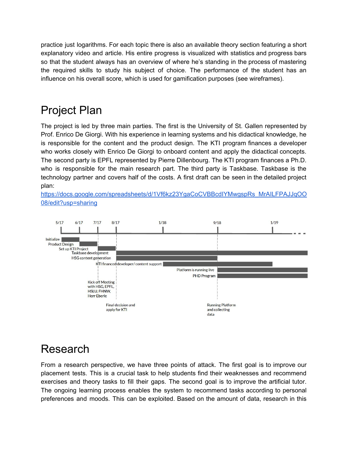practice just logarithms. For each topic there is also an available theory section featuring a short explanatory video and article. His entire progress is visualized with statistics and progress bars so that the student always has an overview of where he's standing in the process of mastering the required skills to study his subject of choice. The performance of the student has an influence on his overall score, which is used for gamification purposes (see wireframes).

# Project Plan

The project is led by three main parties. The first is the University of St. Gallen represented by Prof. Enrico De Giorgi. With his experience in learning systems and his didactical knowledge, he is responsible for the content and the product design. The KTI program finances a developer who works closely with Enrico De Giorgi to onboard content and apply the didactical concepts. The second party is EPFL represented by Pierre Dillenbourg. The KTI program finances a Ph.D. who is responsible for the main research part. The third party is Taskbase. Taskbase is the technology partner and covers half of the costs. A first draft can be seen in the detailed project plan:

[https://docs.google.com/spreadsheets/d/1Vf6kz23YgaCoCVBBcdIYMwgspRs\\_MrAILFPAJJqOO](https://docs.google.com/spreadsheets/d/1Vf6kz23YgaCoCVBBcdIYMwgspRs_MrAILFPAJJqOO08/edit?usp=sharing) [08/edit?usp=sharing](https://docs.google.com/spreadsheets/d/1Vf6kz23YgaCoCVBBcdIYMwgspRs_MrAILFPAJJqOO08/edit?usp=sharing)



## Research

From a research perspective, we have three points of attack. The first goal is to improve our placement tests. This is a crucial task to help students find their weaknesses and recommend exercises and theory tasks to fill their gaps. The second goal is to improve the artificial tutor. The ongoing learning process enables the system to recommend tasks according to personal preferences and moods. This can be exploited. Based on the amount of data, research in this